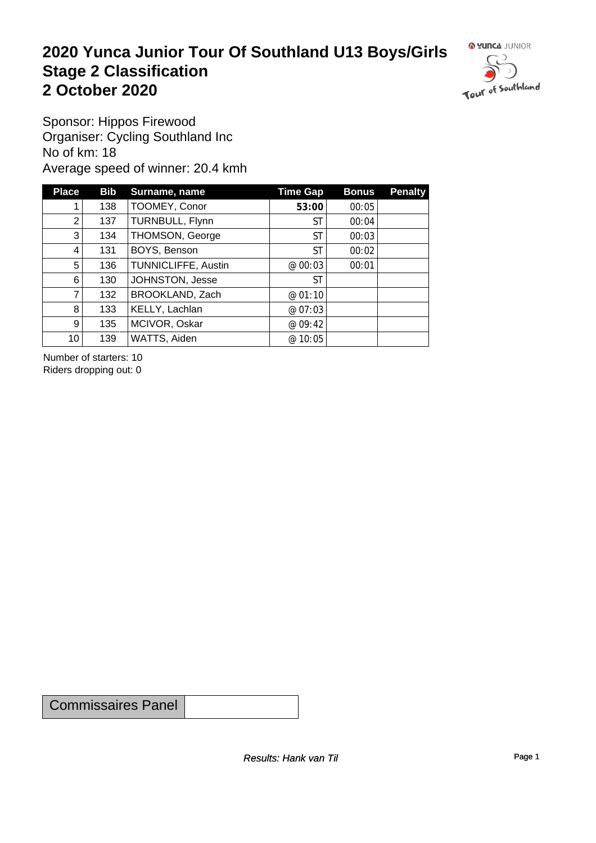#### **2020 Yunca Junior Tour Of Southland U13 Boys/Girls** Stage 2 Classification<br>
2 October 2020 **2 October 2020**



Sponsor: Hippos Firewood Organiser: Cycling Southland Inc No of km: 18 Average speed of winner: 20.4 kmh

| <b>Place</b>    | <b>Bib</b> | Surname, name       | <b>Time Gap</b> | <b>Bonus</b> | <b>Penalty</b> |
|-----------------|------------|---------------------|-----------------|--------------|----------------|
|                 | 138        | TOOMEY, Conor       | 53:00           | 00:05        |                |
| 2               | 137        | TURNBULL, Flynn     | ST              | 00:04        |                |
| 3 <sup>1</sup>  | 134        | THOMSON, George     | ST              | 00:03        |                |
| 4               | 131        | BOYS, Benson        | ST              | 00:02        |                |
| 5               | 136        | TUNNICLIFFE, Austin | @ 00:03         | 00:01        |                |
| 6               | 130        | JOHNSTON, Jesse     | <b>ST</b>       |              |                |
| $\overline{7}$  | 132        | BROOKLAND, Zach     | @01:10          |              |                |
| 8               | 133        | KELLY, Lachlan      | @ 07:03         |              |                |
| 9 <sup>°</sup>  | 135        | MCIVOR, Oskar       | @ 09:42         |              |                |
| 10 <sup>1</sup> | 139        | WATTS, Aiden        | @ 10:05         |              |                |

Number of starters: 10 Riders dropping out: 0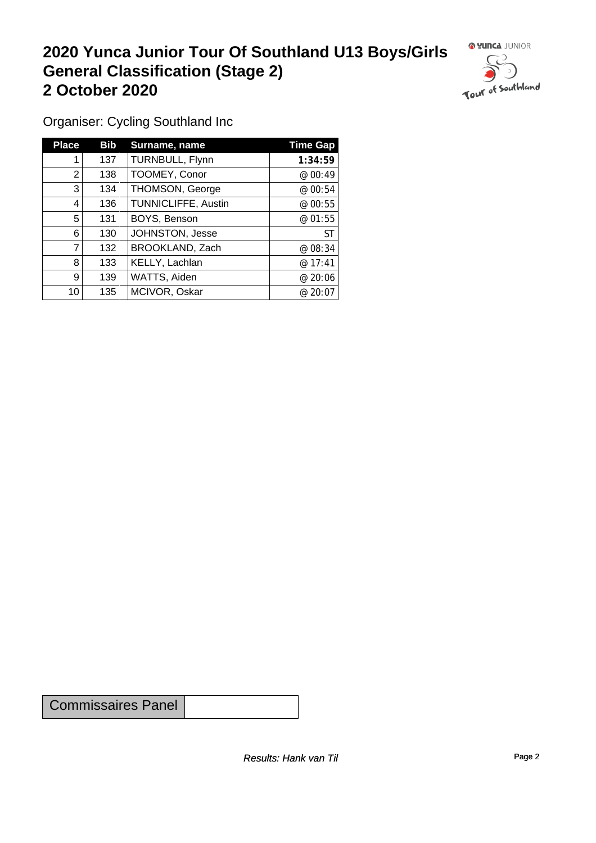## **2020 Yunca Junior Tour Of Southland U13 Boys/Girls General Classification (Stage 2)**<br>
2 October 2020 **2 October 2020**

 $\circ$ 

Organiser: Cycling Southland Inc

| <b>Place</b> | Bib | Surname, name          | <b>Time Gap</b> |
|--------------|-----|------------------------|-----------------|
|              | 137 | TURNBULL, Flynn        | 1:34:59         |
| 2            | 138 | TOOMEY, Conor          | @ 00:49         |
| 3            | 134 | <b>THOMSON, George</b> | @00:54          |
| 4            | 136 | TUNNICLIFFE, Austin    | @00:55          |
| 5            | 131 | BOYS, Benson           | @01:55          |
| 6            | 130 | JOHNSTON, Jesse        | ST              |
| 7            | 132 | BROOKLAND, Zach        | @08:34          |
| 8            | 133 | KELLY, Lachlan         | @17:41          |
| 9            | 139 | WATTS, Aiden           | @20:06          |
| 10           | 135 | MCIVOR, Oskar          | @20:07          |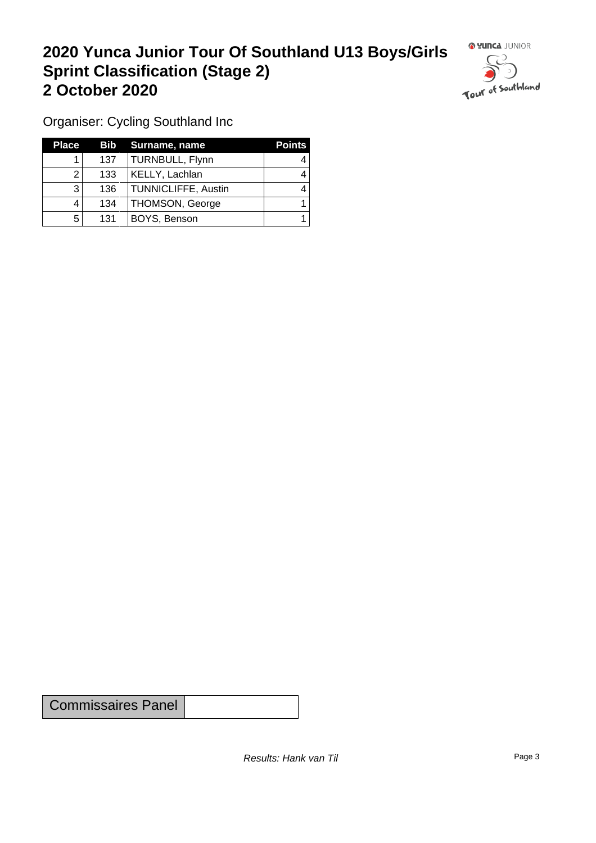### **2020 Yunca Junior Tour Of Southland U13 Boys/Girls Sprint Classification (Stage 2) 2 October 2020**



Organiser: Cycling Southland Inc

| <b>Place</b> |     | <b>Bib</b> Surname, name   | <b>Points</b> |
|--------------|-----|----------------------------|---------------|
|              | 137 | TURNBULL, Flynn            |               |
|              | 133 | KELLY, Lachlan             |               |
| 3            | 136 | <b>TUNNICLIFFE, Austin</b> |               |
|              | 134 | THOMSON, George            |               |
| 5            | 131 | BOYS, Benson               |               |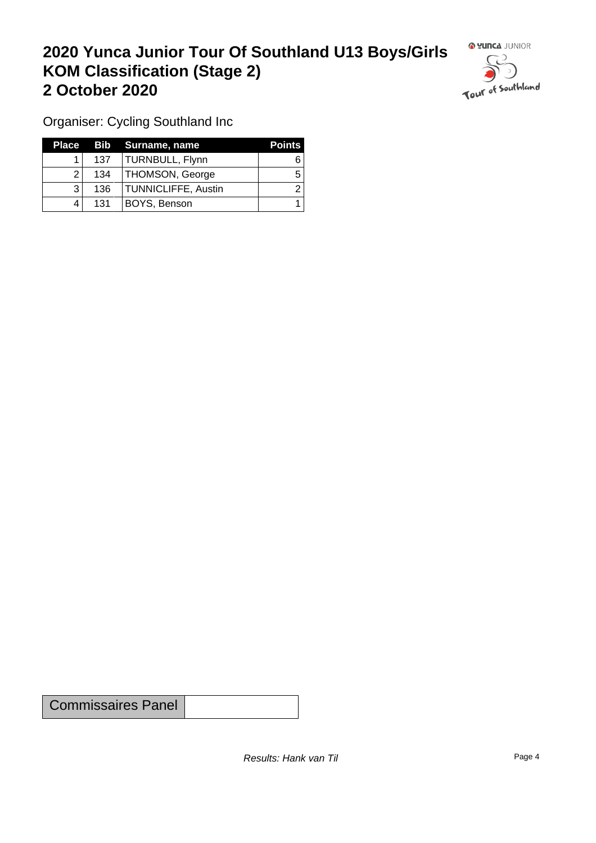### **2020 Yunca Junior Tour Of Southland U13 Boys/Girls KOM Classification (Stage 2) 2 October 2020**



Organiser: Cycling Southland Inc

| Place |     | Bib Surname, name          | <b>Points</b> |
|-------|-----|----------------------------|---------------|
|       | 137 | TURNBULL, Flynn            |               |
|       | 134 | <b>THOMSON, George</b>     | b             |
|       | 136 | <b>TUNNICLIFFE, Austin</b> |               |
|       | 131 | BOYS, Benson               |               |